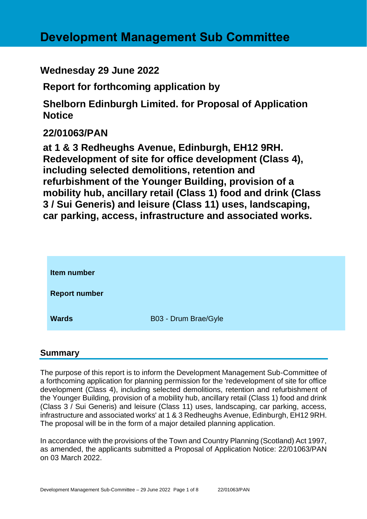# **Development Management Sub Committee**

# **Wednesday 29 June 2022**

**Report for forthcoming application by**

**Shelborn Edinburgh Limited. for Proposal of Application Notice** 

# **22/01063/PAN**

**at 1 & 3 Redheughs Avenue, Edinburgh, EH12 9RH. Redevelopment of site for office development (Class 4), including selected demolitions, retention and refurbishment of the Younger Building, provision of a mobility hub, ancillary retail (Class 1) food and drink (Class 3 / Sui Generis) and leisure (Class 11) uses, landscaping, car parking, access, infrastructure and associated works.**

| <b>Item number</b>   |                      |
|----------------------|----------------------|
| <b>Report number</b> |                      |
| <b>Wards</b>         | B03 - Drum Brae/Gyle |

#### **Summary**

The purpose of this report is to inform the Development Management Sub-Committee of a forthcoming application for planning permission for the 'redevelopment of site for office development (Class 4), including selected demolitions, retention and refurbishment of the Younger Building, provision of a mobility hub, ancillary retail (Class 1) food and drink (Class 3 / Sui Generis) and leisure (Class 11) uses, landscaping, car parking, access, infrastructure and associated works' at 1 & 3 Redheughs Avenue, Edinburgh, EH12 9RH. The proposal will be in the form of a major detailed planning application.

In accordance with the provisions of the Town and Country Planning (Scotland) Act 1997, as amended, the applicants submitted a Proposal of Application Notice: 22/01063/PAN on 03 March 2022.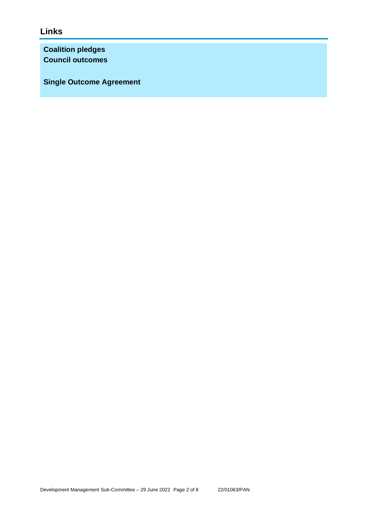# **Links**

**Coalition pledges Council outcomes**

**Single Outcome Agreement**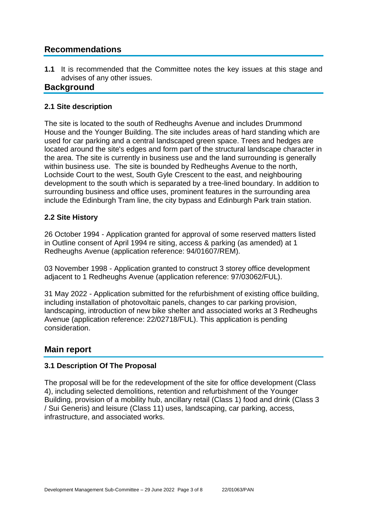## **Recommendations**

**1.1** It is recommended that the Committee notes the key issues at this stage and advises of any other issues.

### **Background**

#### **2.1 Site description**

The site is located to the south of Redheughs Avenue and includes Drummond House and the Younger Building. The site includes areas of hard standing which are used for car parking and a central landscaped green space. Trees and hedges are located around the site's edges and form part of the structural landscape character in the area. The site is currently in business use and the land surrounding is generally within business use. The site is bounded by Redheughs Avenue to the north, Lochside Court to the west, South Gyle Crescent to the east, and neighbouring development to the south which is separated by a tree-lined boundary. In addition to surrounding business and office uses, prominent features in the surrounding area include the Edinburgh Tram line, the city bypass and Edinburgh Park train station.

#### **2.2 Site History**

26 October 1994 - Application granted for approval of some reserved matters listed in Outline consent of April 1994 re siting, access & parking (as amended) at 1 Redheughs Avenue (application reference: 94/01607/REM).

03 November 1998 - Application granted to construct 3 storey office development adjacent to 1 Redheughs Avenue (application reference: 97/03062/FUL).

31 May 2022 - Application submitted for the refurbishment of existing office building, including installation of photovoltaic panels, changes to car parking provision, landscaping, introduction of new bike shelter and associated works at 3 Redheughs Avenue (application reference: 22/02718/FUL). This application is pending consideration.

### **Main report**

#### **3.1 Description Of The Proposal**

The proposal will be for the redevelopment of the site for office development (Class 4), including selected demolitions, retention and refurbishment of the Younger Building, provision of a mobility hub, ancillary retail (Class 1) food and drink (Class 3 / Sui Generis) and leisure (Class 11) uses, landscaping, car parking, access, infrastructure, and associated works.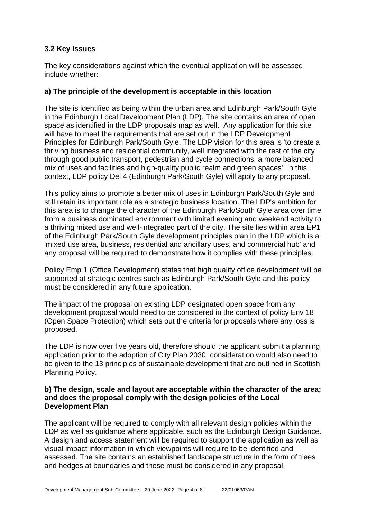#### **3.2 Key Issues**

The key considerations against which the eventual application will be assessed include whether:

#### **a) The principle of the development is acceptable in this location**

The site is identified as being within the urban area and Edinburgh Park/South Gyle in the Edinburgh Local Development Plan (LDP). The site contains an area of open space as identified in the LDP proposals map as well. Any application for this site will have to meet the requirements that are set out in the LDP Development Principles for Edinburgh Park/South Gyle. The LDP vision for this area is 'to create a thriving business and residential community, well integrated with the rest of the city through good public transport, pedestrian and cycle connections, a more balanced mix of uses and facilities and high-quality public realm and green spaces'. In this context, LDP policy Del 4 (Edinburgh Park/South Gyle) will apply to any proposal.

This policy aims to promote a better mix of uses in Edinburgh Park/South Gyle and still retain its important role as a strategic business location. The LDP's ambition for this area is to change the character of the Edinburgh Park/South Gyle area over time from a business dominated environment with limited evening and weekend activity to a thriving mixed use and well-integrated part of the city. The site lies within area EP1 of the Edinburgh Park/South Gyle development principles plan in the LDP which is a 'mixed use area, business, residential and ancillary uses, and commercial hub' and any proposal will be required to demonstrate how it complies with these principles.

Policy Emp 1 (Office Development) states that high quality office development will be supported at strategic centres such as Edinburgh Park/South Gyle and this policy must be considered in any future application.

The impact of the proposal on existing LDP designated open space from any development proposal would need to be considered in the context of policy Env 18 (Open Space Protection) which sets out the criteria for proposals where any loss is proposed.

The LDP is now over five years old, therefore should the applicant submit a planning application prior to the adoption of City Plan 2030, consideration would also need to be given to the 13 principles of sustainable development that are outlined in Scottish Planning Policy.

#### **b) The design, scale and layout are acceptable within the character of the area; and does the proposal comply with the design policies of the Local Development Plan**

The applicant will be required to comply with all relevant design policies within the LDP as well as guidance where applicable, such as the Edinburgh Design Guidance. A design and access statement will be required to support the application as well as visual impact information in which viewpoints will require to be identified and assessed. The site contains an established landscape structure in the form of trees and hedges at boundaries and these must be considered in any proposal.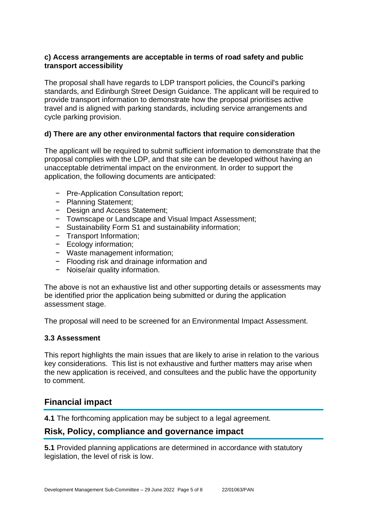#### **c) Access arrangements are acceptable in terms of road safety and public transport accessibility**

The proposal shall have regards to LDP transport policies, the Council's parking standards, and Edinburgh Street Design Guidance. The applicant will be required to provide transport information to demonstrate how the proposal prioritises active travel and is aligned with parking standards, including service arrangements and cycle parking provision.

#### **d) There are any other environmental factors that require consideration**

The applicant will be required to submit sufficient information to demonstrate that the proposal complies with the LDP, and that site can be developed without having an unacceptable detrimental impact on the environment. In order to support the application, the following documents are anticipated:

- − Pre-Application Consultation report;
- − Planning Statement;
- − Design and Access Statement;
- − Townscape or Landscape and Visual Impact Assessment;
- − Sustainability Form S1 and sustainability information;
- − Transport Information;
- − Ecology information;
- − Waste management information;
- − Flooding risk and drainage information and
- − Noise/air quality information.

The above is not an exhaustive list and other supporting details or assessments may be identified prior the application being submitted or during the application assessment stage.

The proposal will need to be screened for an Environmental Impact Assessment.

#### **3.3 Assessment**

This report highlights the main issues that are likely to arise in relation to the various key considerations. This list is not exhaustive and further matters may arise when the new application is received, and consultees and the public have the opportunity to comment.

#### **Financial impact**

**4.1** The forthcoming application may be subject to a legal agreement.

#### **Risk, Policy, compliance and governance impact**

**5.1** Provided planning applications are determined in accordance with statutory legislation, the level of risk is low.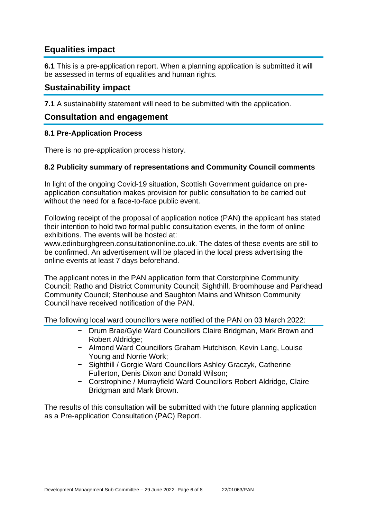# **Equalities impact**

**6.1** This is a pre-application report. When a planning application is submitted it will be assessed in terms of equalities and human rights.

### **Sustainability impact**

**7.1** A sustainability statement will need to be submitted with the application.

### **Consultation and engagement**

#### **8.1 Pre-Application Process**

There is no pre-application process history.

#### **8.2 Publicity summary of representations and Community Council comments**

In light of the ongoing Covid-19 situation, Scottish Government guidance on preapplication consultation makes provision for public consultation to be carried out without the need for a face-to-face public event.

Following receipt of the proposal of application notice (PAN) the applicant has stated their intention to hold two formal public consultation events, in the form of online exhibitions. The events will be hosted at:

www.edinburghgreen.consultationonline.co.uk. The dates of these events are still to be confirmed. An advertisement will be placed in the local press advertising the online events at least 7 days beforehand.

The applicant notes in the PAN application form that Corstorphine Community Council; Ratho and District Community Council; Sighthill, Broomhouse and Parkhead Community Council; Stenhouse and Saughton Mains and Whitson Community Council have received notification of the PAN.

The following local ward councillors were notified of the PAN on 03 March 2022:

- − Drum Brae/Gyle Ward Councillors Claire Bridgman, Mark Brown and Robert Aldridge;
- − Almond Ward Councillors Graham Hutchison, Kevin Lang, Louise Young and Norrie Work;
- − Sighthill / Gorgie Ward Councillors Ashley Graczyk, Catherine Fullerton, Denis Dixon and Donald Wilson;
- − Corstrophine / Murrayfield Ward Councillors Robert Aldridge, Claire Bridgman and Mark Brown.

The results of this consultation will be submitted with the future planning application as a Pre-application Consultation (PAC) Report.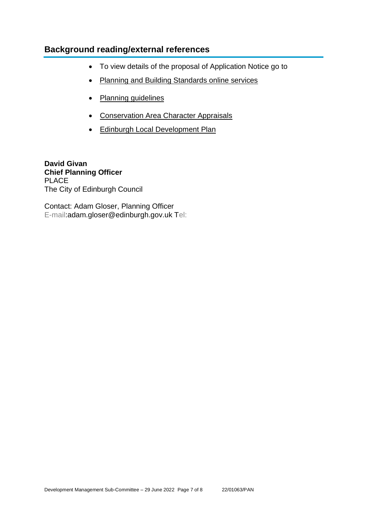## **Background reading/external references**

- To view details of the proposal of Application Notice go to
- [Planning and Building Standards online services](https://citydev-portal.edinburgh.gov.uk/idoxpa-web/search.do?action=simple&searchType=Application)
- [Planning guidelines](http://www.edinburgh.gov.uk/planningguidelines)
- [Conservation Area Character Appraisals](http://www.edinburgh.gov.uk/characterappraisals)
- [Edinburgh Local Development Plan](http://www.edinburgh.gov.uk/info/20164/proposed_local_development_plan/66/local_development_plan)

**David Givan Chief Planning Officer** PLACE The City of Edinburgh Council

Contact: Adam Gloser, Planning Officer E-mail:adam.gloser@edinburgh.gov.uk Tel: